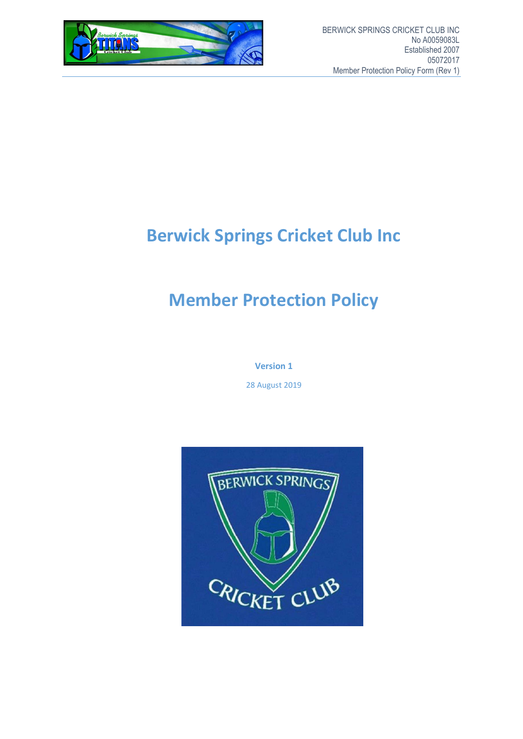

# **Berwick Springs Cricket Club Inc**

# **Member Protection Policy**

**Version 1**

28 August 2019

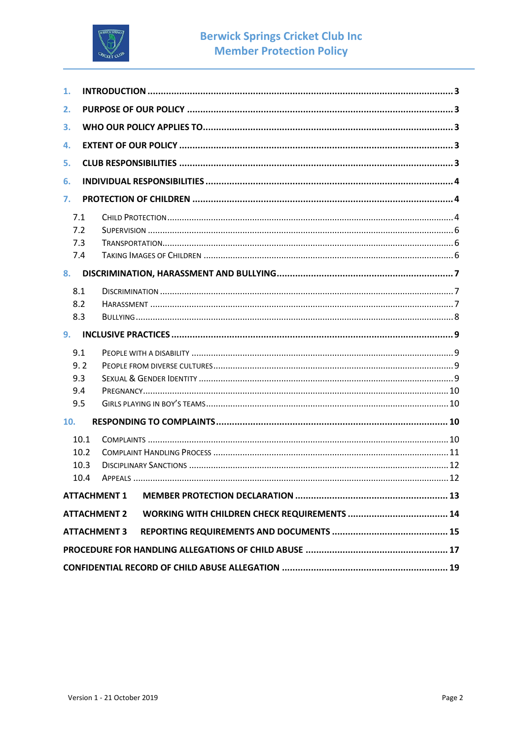

| 1.         |      |                     |  |  |
|------------|------|---------------------|--|--|
| 2.         |      |                     |  |  |
| 3.         |      |                     |  |  |
| 4.         |      |                     |  |  |
| 5.         |      |                     |  |  |
| 6.         |      |                     |  |  |
|            |      |                     |  |  |
| 7.         |      |                     |  |  |
| 7.1        |      |                     |  |  |
| 7.2        |      |                     |  |  |
| 7.3<br>7.4 |      |                     |  |  |
|            |      |                     |  |  |
| 8.         |      |                     |  |  |
| 8.1        |      |                     |  |  |
| 8.2        |      |                     |  |  |
| 8.3        |      |                     |  |  |
| 9.         |      |                     |  |  |
| 9.1        |      |                     |  |  |
| 9.2        |      |                     |  |  |
| 9.3        |      |                     |  |  |
| 9.4        |      |                     |  |  |
| 9.5        |      |                     |  |  |
| 10.        |      |                     |  |  |
|            | 10.1 |                     |  |  |
|            | 10.2 |                     |  |  |
|            | 10.3 |                     |  |  |
|            | 10.4 |                     |  |  |
|            |      | <b>ATTACHMENT 1</b> |  |  |
|            |      | <b>ATTACHMENT 2</b> |  |  |
|            |      | <b>ATTACHMENT 3</b> |  |  |
|            |      |                     |  |  |
|            |      |                     |  |  |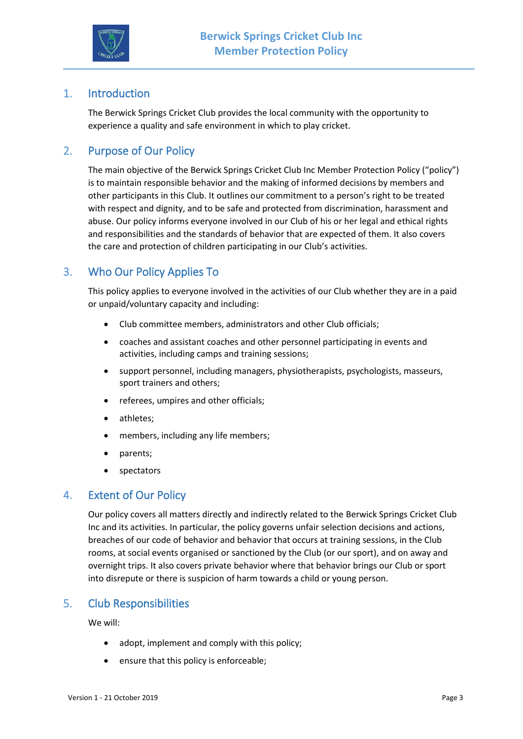

## 1. Introduction

The Berwick Springs Cricket Club provides the local community with the opportunity to experience a quality and safe environment in which to play cricket.

## 2. Purpose of Our Policy

The main objective of the Berwick Springs Cricket Club Inc Member Protection Policy ("policy") is to maintain responsible behavior and the making of informed decisions by members and other participants in this Club. It outlines our commitment to a person's right to be treated with respect and dignity, and to be safe and protected from discrimination, harassment and abuse. Our policy informs everyone involved in our Club of his or her legal and ethical rights and responsibilities and the standards of behavior that are expected of them. It also covers the care and protection of children participating in our Club's activities.

## 3. Who Our Policy Applies To

This policy applies to everyone involved in the activities of our Club whether they are in a paid or unpaid/voluntary capacity and including:

- Club committee members, administrators and other Club officials;
- coaches and assistant coaches and other personnel participating in events and activities, including camps and training sessions;
- support personnel, including managers, physiotherapists, psychologists, masseurs, sport trainers and others;
- referees, umpires and other officials;
- athletes;
- members, including any life members;
- parents;
- spectators

### 4. Extent of Our Policy

Our policy covers all matters directly and indirectly related to the Berwick Springs Cricket Club Inc and its activities. In particular, the policy governs unfair selection decisions and actions, breaches of our code of behavior and behavior that occurs at training sessions, in the Club rooms, at social events organised or sanctioned by the Club (or our sport), and on away and overnight trips. It also covers private behavior where that behavior brings our Club or sport into disrepute or there is suspicion of harm towards a child or young person.

## 5. Club Responsibilities

We will:

- adopt, implement and comply with this policy;
- ensure that this policy is enforceable;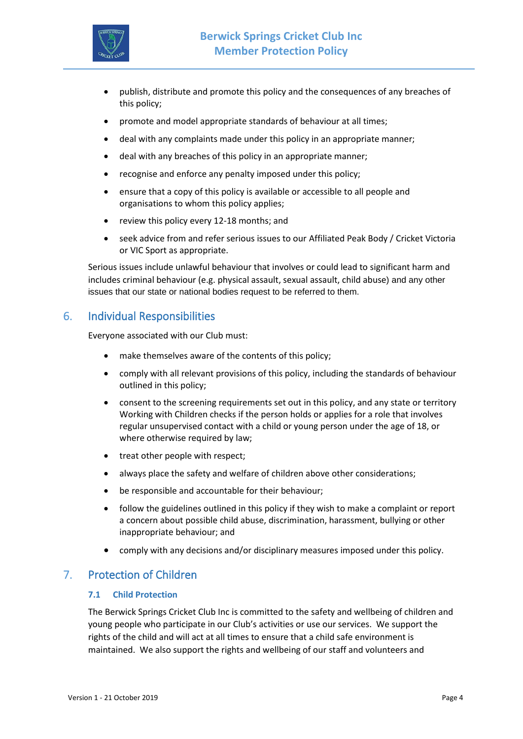

- publish, distribute and promote this policy and the consequences of any breaches of this policy;
- promote and model appropriate standards of behaviour at all times;
- deal with any complaints made under this policy in an appropriate manner;
- deal with any breaches of this policy in an appropriate manner;
- recognise and enforce any penalty imposed under this policy;
- ensure that a copy of this policy is available or accessible to all people and organisations to whom this policy applies;
- review this policy every 12-18 months; and
- seek advice from and refer serious issues to our Affiliated Peak Body / Cricket Victoria or VIC Sport as appropriate.

Serious issues include unlawful behaviour that involves or could lead to significant harm and includes criminal behaviour (e.g. physical assault, sexual assault, child abuse) and any other issues that our state or national bodies request to be referred to them.

## 6. Individual Responsibilities

Everyone associated with our Club must:

- make themselves aware of the contents of this policy;
- comply with all relevant provisions of this policy, including the standards of behaviour outlined in this policy;
- consent to the screening requirements set out in this policy, and any state or territory Working with Children checks if the person holds or applies for a role that involves regular unsupervised contact with a child or young person under the age of 18, or where otherwise required by law;
- treat other people with respect;
- always place the safety and welfare of children above other considerations;
- be responsible and accountable for their behaviour;
- follow the guidelines outlined in this policy if they wish to make a complaint or report a concern about possible child abuse, discrimination, harassment, bullying or other inappropriate behaviour; and
- comply with any decisions and/or disciplinary measures imposed under this policy.

## 7. Protection of Children

#### **7.1 Child Protection**

The Berwick Springs Cricket Club Inc is committed to the safety and wellbeing of children and young people who participate in our Club's activities or use our services. We support the rights of the child and will act at all times to ensure that a child safe environment is maintained. We also support the rights and wellbeing of our staff and volunteers and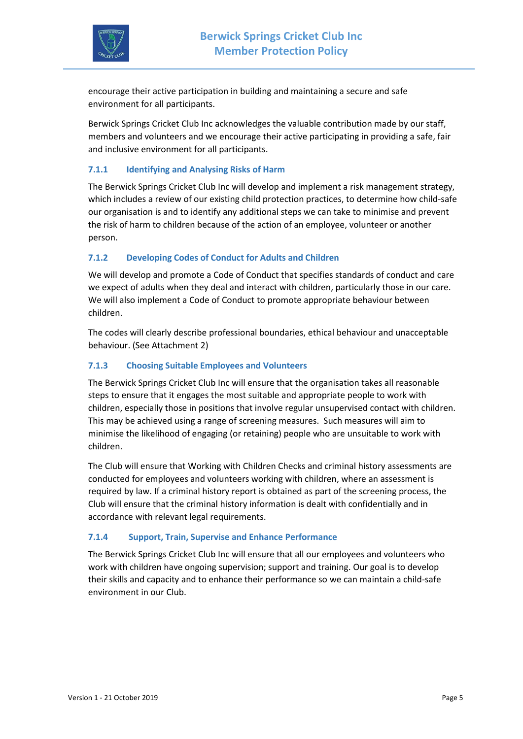

encourage their active participation in building and maintaining a secure and safe environment for all participants.

Berwick Springs Cricket Club Inc acknowledges the valuable contribution made by our staff, members and volunteers and we encourage their active participating in providing a safe, fair and inclusive environment for all participants.

#### **7.1.1 Identifying and Analysing Risks of Harm**

The Berwick Springs Cricket Club Inc will develop and implement a risk management strategy, which includes a review of our existing child protection practices, to determine how child-safe our organisation is and to identify any additional steps we can take to minimise and prevent the risk of harm to children because of the action of an employee, volunteer or another person.

#### **7.1.2 Developing Codes of Conduct for Adults and Children**

We will develop and promote a Code of Conduct that specifies standards of conduct and care we expect of adults when they deal and interact with children, particularly those in our care. We will also implement a Code of Conduct to promote appropriate behaviour between children.

The codes will clearly describe professional boundaries, ethical behaviour and unacceptable behaviour. (See Attachment 2)

#### **7.1.3 Choosing Suitable Employees and Volunteers**

The Berwick Springs Cricket Club Inc will ensure that the organisation takes all reasonable steps to ensure that it engages the most suitable and appropriate people to work with children, especially those in positions that involve regular unsupervised contact with children. This may be achieved using a range of screening measures. Such measures will aim to minimise the likelihood of engaging (or retaining) people who are unsuitable to work with children.

The Club will ensure that Working with Children Checks and criminal history assessments are conducted for employees and volunteers working with children, where an assessment is required by law. If a criminal history report is obtained as part of the screening process, the Club will ensure that the criminal history information is dealt with confidentially and in accordance with relevant legal requirements.

#### **7.1.4 Support, Train, Supervise and Enhance Performance**

The Berwick Springs Cricket Club Inc will ensure that all our employees and volunteers who work with children have ongoing supervision; support and training. Our goal is to develop their skills and capacity and to enhance their performance so we can maintain a child-safe environment in our Club.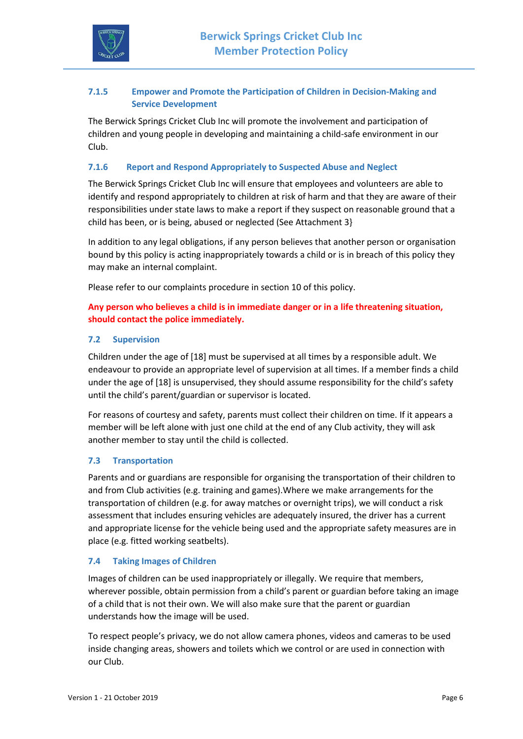

#### **7.1.5 Empower and Promote the Participation of Children in Decision-Making and Service Development**

The Berwick Springs Cricket Club Inc will promote the involvement and participation of children and young people in developing and maintaining a child-safe environment in our Club.

#### **7.1.6 Report and Respond Appropriately to Suspected Abuse and Neglect**

The Berwick Springs Cricket Club Inc will ensure that employees and volunteers are able to identify and respond appropriately to children at risk of harm and that they are aware of their responsibilities under state laws to make a report if they suspect on reasonable ground that a child has been, or is being, abused or neglected (See Attachment 3}

In addition to any legal obligations, if any person believes that another person or organisation bound by this policy is acting inappropriately towards a child or is in breach of this policy they may make an internal complaint.

Please refer to our complaints procedure in section 10 of this policy.

#### **Any person who believes a child is in immediate danger or in a life threatening situation, should contact the police immediately.**

#### **7.2 Supervision**

Children under the age of [18] must be supervised at all times by a responsible adult. We endeavour to provide an appropriate level of supervision at all times. If a member finds a child under the age of [18] is unsupervised, they should assume responsibility for the child's safety until the child's parent/guardian or supervisor is located.

For reasons of courtesy and safety, parents must collect their children on time. If it appears a member will be left alone with just one child at the end of any Club activity, they will ask another member to stay until the child is collected.

#### **7.3 Transportation**

Parents and or guardians are responsible for organising the transportation of their children to and from Club activities (e.g. training and games).Where we make arrangements for the transportation of children (e.g. for away matches or overnight trips), we will conduct a risk assessment that includes ensuring vehicles are adequately insured, the driver has a current and appropriate license for the vehicle being used and the appropriate safety measures are in place (e.g. fitted working seatbelts).

#### **7.4 Taking Images of Children**

Images of children can be used inappropriately or illegally. We require that members, wherever possible, obtain permission from a child's parent or guardian before taking an image of a child that is not their own. We will also make sure that the parent or guardian understands how the image will be used.

To respect people's privacy, we do not allow camera phones, videos and cameras to be used inside changing areas, showers and toilets which we control or are used in connection with our Club.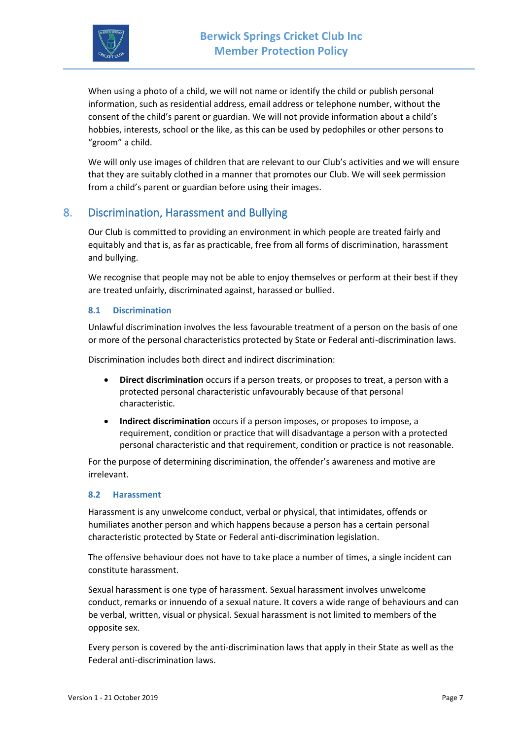

When using a photo of a child, we will not name or identify the child or publish personal information, such as residential address, email address or telephone number, without the consent of the child's parent or guardian. We will not provide information about a child's hobbies, interests, school or the like, as this can be used by pedophiles or other persons to "groom" a child.

We will only use images of children that are relevant to our Club's activities and we will ensure that they are suitably clothed in a manner that promotes our Club. We will seek permission from a child's parent or guardian before using their images.

## 8. Discrimination, Harassment and Bullying

Our Club is committed to providing an environment in which people are treated fairly and equitably and that is, as far as practicable, free from all forms of discrimination, harassment and bullying.

We recognise that people may not be able to enjoy themselves or perform at their best if they are treated unfairly, discriminated against, harassed or bullied.

#### **8.1 Discrimination**

Unlawful discrimination involves the less favourable treatment of a person on the basis of one or more of the personal characteristics protected by State or Federal anti-discrimination laws.

Discrimination includes both direct and indirect discrimination:

- **Direct discrimination** occurs if a person treats, or proposes to treat, a person with a protected personal characteristic unfavourably because of that personal characteristic.
- **Indirect discrimination** occurs if a person imposes, or proposes to impose, a requirement, condition or practice that will disadvantage a person with a protected personal characteristic and that requirement, condition or practice is not reasonable.

For the purpose of determining discrimination, the offender's awareness and motive are irrelevant.

#### **8.2 Harassment**

Harassment is any unwelcome conduct, verbal or physical, that intimidates, offends or humiliates another person and which happens because a person has a certain personal characteristic protected by State or Federal anti-discrimination legislation.

The offensive behaviour does not have to take place a number of times, a single incident can constitute harassment.

Sexual harassment is one type of harassment. Sexual harassment involves unwelcome conduct, remarks or innuendo of a sexual nature. It covers a wide range of behaviours and can be verbal, written, visual or physical. Sexual harassment is not limited to members of the opposite sex.

Every person is covered by the anti-discrimination laws that apply in their State as well as the Federal anti-discrimination laws.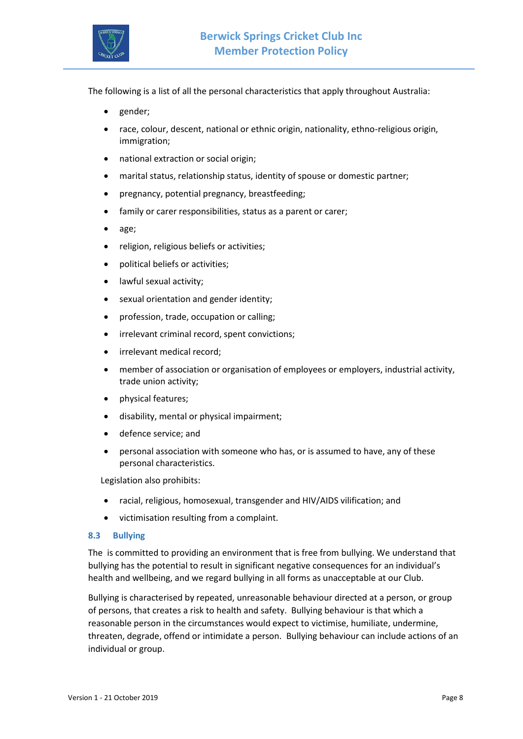

The following is a list of all the personal characteristics that apply throughout Australia:

- gender;
- race, colour, descent, national or ethnic origin, nationality, ethno-religious origin, immigration;
- national extraction or social origin;
- marital status, relationship status, identity of spouse or domestic partner;
- pregnancy, potential pregnancy, breastfeeding;
- family or carer responsibilities, status as a parent or carer;
- age;
- religion, religious beliefs or activities;
- political beliefs or activities;
- lawful sexual activity;
- sexual orientation and gender identity;
- profession, trade, occupation or calling;
- irrelevant criminal record, spent convictions;
- irrelevant medical record:
- member of association or organisation of employees or employers, industrial activity, trade union activity;
- physical features;
- disability, mental or physical impairment;
- defence service; and
- personal association with someone who has, or is assumed to have, any of these personal characteristics.

Legislation also prohibits:

- racial, religious, homosexual, transgender and HIV/AIDS vilification; and
- victimisation resulting from a complaint.

#### **8.3 Bullying**

The is committed to providing an environment that is free from bullying. We understand that bullying has the potential to result in significant negative consequences for an individual's health and wellbeing, and we regard bullying in all forms as unacceptable at our Club.

Bullying is characterised by repeated, unreasonable behaviour directed at a person, or group of persons, that creates a risk to health and safety. Bullying behaviour is that which a reasonable person in the circumstances would expect to victimise, humiliate, undermine, threaten, degrade, offend or intimidate a person. Bullying behaviour can include actions of an individual or group.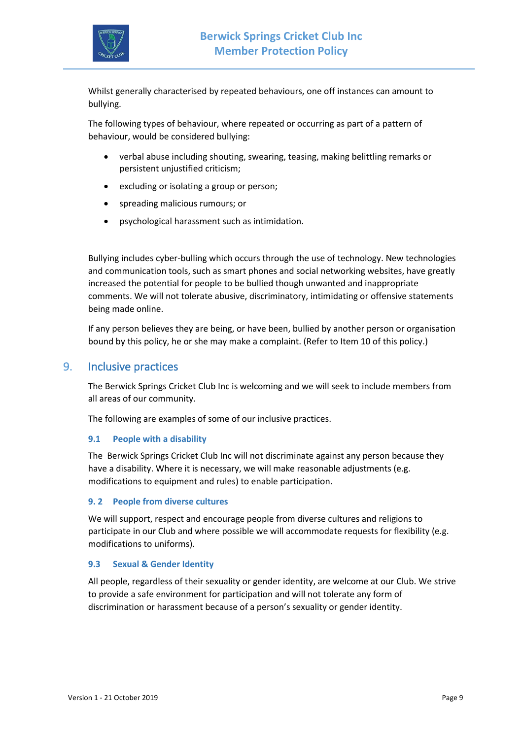

Whilst generally characterised by repeated behaviours, one off instances can amount to bullying.

The following types of behaviour, where repeated or occurring as part of a pattern of behaviour, would be considered bullying:

- verbal abuse including shouting, swearing, teasing, making belittling remarks or persistent unjustified criticism;
- excluding or isolating a group or person;
- spreading malicious rumours; or
- psychological harassment such as intimidation.

Bullying includes cyber-bulling which occurs through the use of technology. New technologies and communication tools, such as smart phones and social networking websites, have greatly increased the potential for people to be bullied though unwanted and inappropriate comments. We will not tolerate abusive, discriminatory, intimidating or offensive statements being made online.

If any person believes they are being, or have been, bullied by another person or organisation bound by this policy, he or she may make a complaint. (Refer to Item 10 of this policy.)

#### 9. Inclusive practices

The Berwick Springs Cricket Club Inc is welcoming and we will seek to include members from all areas of our community.

The following are examples of some of our inclusive practices.

#### **9.1 People with a disability**

The Berwick Springs Cricket Club Inc will not discriminate against any person because they have a disability. Where it is necessary, we will make reasonable adjustments (e.g. modifications to equipment and rules) to enable participation.

#### **9. 2 People from diverse cultures**

We will support, respect and encourage people from diverse cultures and religions to participate in our Club and where possible we will accommodate requests for flexibility (e.g. modifications to uniforms).

#### **9.3 Sexual & Gender Identity**

All people, regardless of their sexuality or gender identity, are welcome at our Club. We strive to provide a safe environment for participation and will not tolerate any form of discrimination or harassment because of a person's sexuality or gender identity.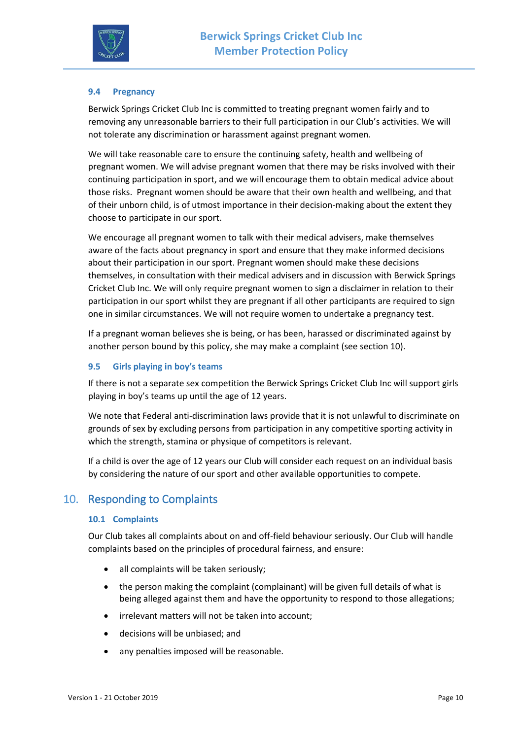

#### **9.4 Pregnancy**

Berwick Springs Cricket Club Inc is committed to treating pregnant women fairly and to removing any unreasonable barriers to their full participation in our Club's activities. We will not tolerate any discrimination or harassment against pregnant women.

We will take reasonable care to ensure the continuing safety, health and wellbeing of pregnant women. We will advise pregnant women that there may be risks involved with their continuing participation in sport, and we will encourage them to obtain medical advice about those risks. Pregnant women should be aware that their own health and wellbeing, and that of their unborn child, is of utmost importance in their decision-making about the extent they choose to participate in our sport.

We encourage all pregnant women to talk with their medical advisers, make themselves aware of the facts about pregnancy in sport and ensure that they make informed decisions about their participation in our sport. Pregnant women should make these decisions themselves, in consultation with their medical advisers and in discussion with Berwick Springs Cricket Club Inc. We will only require pregnant women to sign a disclaimer in relation to their participation in our sport whilst they are pregnant if all other participants are required to sign one in similar circumstances. We will not require women to undertake a pregnancy test.

If a pregnant woman believes she is being, or has been, harassed or discriminated against by another person bound by this policy, she may make a complaint (see section 10).

#### **9.5 Girls playing in boy's teams**

If there is not a separate sex competition the Berwick Springs Cricket Club Inc will support girls playing in boy's teams up until the age of 12 years.

We note that Federal anti-discrimination laws provide that it is not unlawful to discriminate on grounds of sex by excluding persons from participation in any competitive sporting activity in which the strength, stamina or physique of competitors is relevant.

If a child is over the age of 12 years our Club will consider each request on an individual basis by considering the nature of our sport and other available opportunities to compete.

## 10. Responding to Complaints

#### **10.1 Complaints**

Our Club takes all complaints about on and off-field behaviour seriously. Our Club will handle complaints based on the principles of procedural fairness, and ensure:

- all complaints will be taken seriously;
- the person making the complaint (complainant) will be given full details of what is being alleged against them and have the opportunity to respond to those allegations;
- irrelevant matters will not be taken into account;
- decisions will be unbiased; and
- any penalties imposed will be reasonable.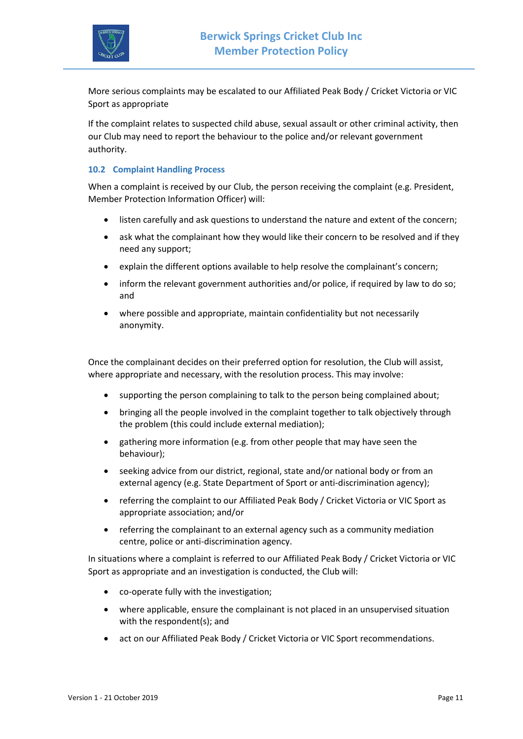

More serious complaints may be escalated to our Affiliated Peak Body / Cricket Victoria or VIC Sport as appropriate

If the complaint relates to suspected child abuse, sexual assault or other criminal activity, then our Club may need to report the behaviour to the police and/or relevant government authority.

#### **10.2 Complaint Handling Process**

When a complaint is received by our Club, the person receiving the complaint (e.g. President, Member Protection Information Officer) will:

- listen carefully and ask questions to understand the nature and extent of the concern;
- ask what the complainant how they would like their concern to be resolved and if they need any support;
- explain the different options available to help resolve the complainant's concern;
- inform the relevant government authorities and/or police, if required by law to do so; and
- where possible and appropriate, maintain confidentiality but not necessarily anonymity.

Once the complainant decides on their preferred option for resolution, the Club will assist, where appropriate and necessary, with the resolution process. This may involve:

- supporting the person complaining to talk to the person being complained about;
- bringing all the people involved in the complaint together to talk objectively through the problem (this could include external mediation);
- gathering more information (e.g. from other people that may have seen the behaviour);
- seeking advice from our district, regional, state and/or national body or from an external agency (e.g. State Department of Sport or anti-discrimination agency);
- referring the complaint to our Affiliated Peak Body / Cricket Victoria or VIC Sport as appropriate association; and/or
- referring the complainant to an external agency such as a community mediation centre, police or anti-discrimination agency.

In situations where a complaint is referred to our Affiliated Peak Body / Cricket Victoria or VIC Sport as appropriate and an investigation is conducted, the Club will:

- co-operate fully with the investigation;
- where applicable, ensure the complainant is not placed in an unsupervised situation with the respondent(s); and
- act on our Affiliated Peak Body / Cricket Victoria or VIC Sport recommendations.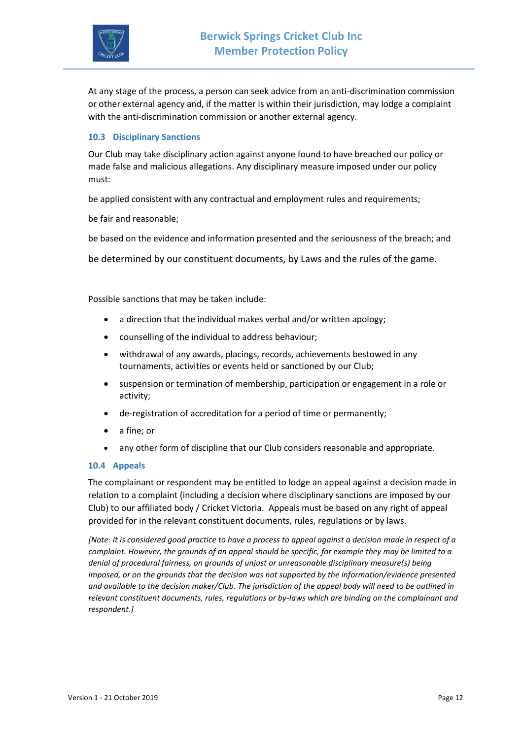

At any stage of the process, a person can seek advice from an anti-discrimination commission or other external agency and, if the matter is within their jurisdiction, may lodge a complaint with the anti-discrimination commission or another external agency.

#### **10.3 Disciplinary Sanctions**

Our Club may take disciplinary action against anyone found to have breached our policy or made false and malicious allegations. Any disciplinary measure imposed under our policy must:

be applied consistent with any contractual and employment rules and requirements;

be fair and reasonable;

be based on the evidence and information presented and the seriousness of the breach; and

be determined by our constituent documents, by Laws and the rules of the game.

Possible sanctions that may be taken include:

- a direction that the individual makes verbal and/or written apology;
- counselling of the individual to address behaviour;
- withdrawal of any awards, placings, records, achievements bestowed in any tournaments, activities or events held or sanctioned by our Club;
- suspension or termination of membership, participation or engagement in a role or activity;
- de-registration of accreditation for a period of time or permanently;
- a fine; or
- any other form of discipline that our Club considers reasonable and appropriate.

#### **10.4 Appeals**

The complainant or respondent may be entitled to lodge an appeal against a decision made in relation to a complaint (including a decision where disciplinary sanctions are imposed by our Club) to our affiliated body / Cricket Victoria. Appeals must be based on any right of appeal provided for in the relevant constituent documents, rules, regulations or by laws.

*[Note: It is considered good practice to have a process to appeal against a decision made in respect of a complaint. However, the grounds of an appeal should be specific, for example they may be limited to a denial of procedural fairness, on grounds of unjust or unreasonable disciplinary measure(s) being imposed, or on the grounds that the decision was not supported by the information/evidence presented and available to the decision maker/Club. The jurisdiction of the appeal body will need to be outlined in relevant constituent documents, rules, regulations or by-laws which are binding on the complainant and respondent.]*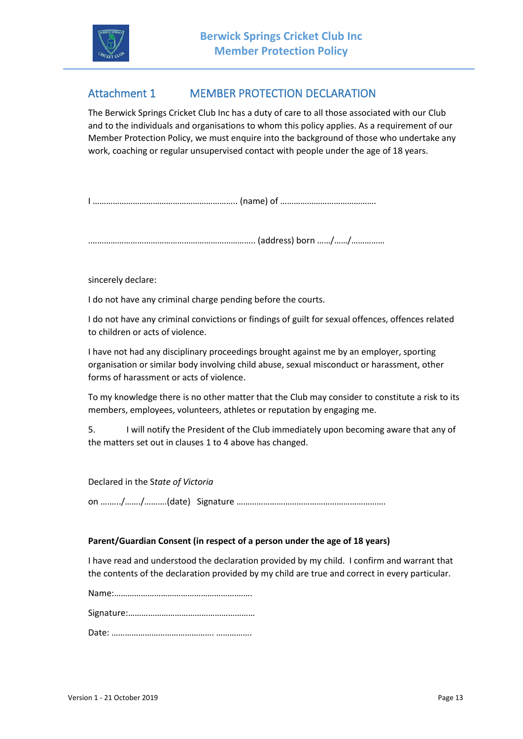

# Attachment 1 MEMBER PROTECTION DECLARATION

The Berwick Springs Cricket Club Inc has a duty of care to all those associated with our Club and to the individuals and organisations to whom this policy applies. As a requirement of our Member Protection Policy, we must enquire into the background of those who undertake any work, coaching or regular unsupervised contact with people under the age of 18 years.

I ……………………………………………………….. (name) of …………………………………….

.……………………………………………………………….. (address) born ……/……/……………

sincerely declare:

I do not have any criminal charge pending before the courts.

I do not have any criminal convictions or findings of guilt for sexual offences, offences related to children or acts of violence.

I have not had any disciplinary proceedings brought against me by an employer, sporting organisation or similar body involving child abuse, sexual misconduct or harassment, other forms of harassment or acts of violence.

To my knowledge there is no other matter that the Club may consider to constitute a risk to its members, employees, volunteers, athletes or reputation by engaging me.

5. I will notify the President of the Club immediately upon becoming aware that any of the matters set out in clauses 1 to 4 above has changed.

Declared in the S*tate of Victoria*

on …….../……./……….(date) Signature ………………………………………………………….

#### **Parent/Guardian Consent (in respect of a person under the age of 18 years)**

I have read and understood the declaration provided by my child. I confirm and warrant that the contents of the declaration provided by my child are true and correct in every particular.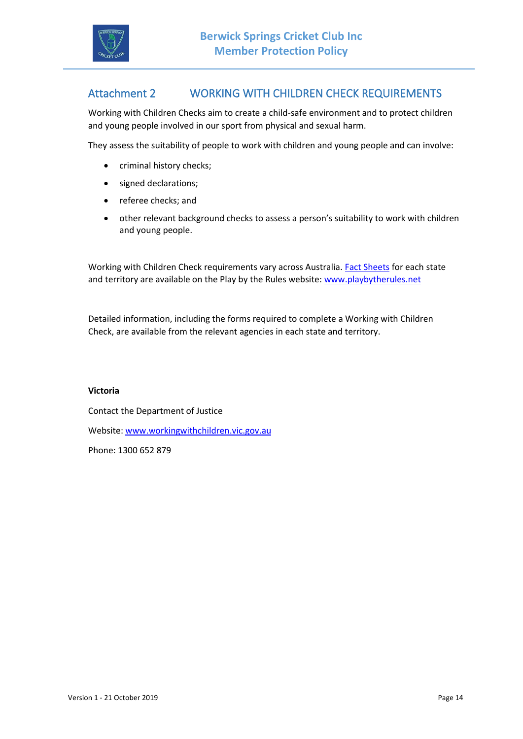

## Attachment 2 WORKING WITH CHILDREN CHECK REQUIREMENTS

Working with Children Checks aim to create a child-safe environment and to protect children and young people involved in our sport from physical and sexual harm.

They assess the suitability of people to work with children and young people and can involve:

- criminal history checks;
- signed declarations;
- referee checks; and
- other relevant background checks to assess a person's suitability to work with children and young people.

Working with Children Check requirements vary across Australia[. Fact Sheets](http://www.playbytherules.net.au/legal-stuff/child-protection/child-protection-laws-explained/screening) for each state and territory are available on the Play by the Rules website: [www.playbytherules.net](http://www.playbytherules.net/)

Detailed information, including the forms required to complete a Working with Children Check, are available from the relevant agencies in each state and territory.

#### **Victoria**

Contact the Department of Justice Website: [www.workingwithchildren.vic.gov.au](http://www.workingwithchildren.vic.gov.au/) Phone: 1300 652 879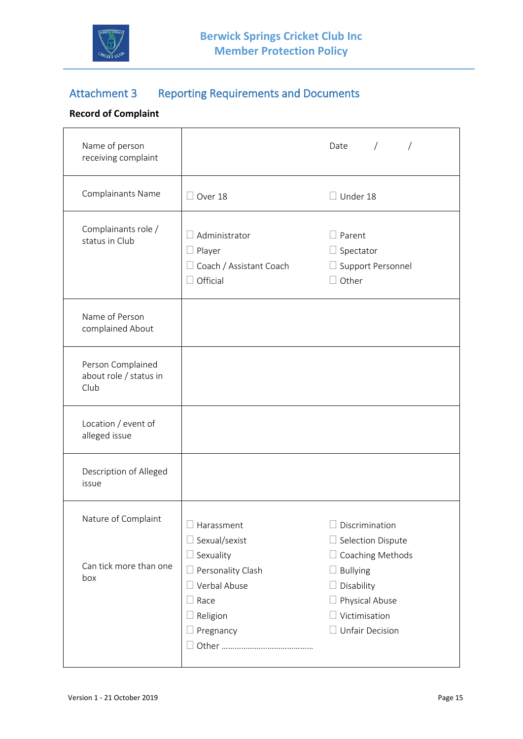

# Attachment 3 Reporting Requirements and Documents

## **Record of Complaint**

 $\mathbf{r}$ 

| Name of person<br>receiving complaint               |                                                                                            | $\sqrt{2}$<br>Date                                                                                                           |
|-----------------------------------------------------|--------------------------------------------------------------------------------------------|------------------------------------------------------------------------------------------------------------------------------|
| Complainants Name                                   | Over 18                                                                                    | $\Box$ Under 18                                                                                                              |
| Complainants role /<br>status in Club               | Administrator<br>$\Box$ Player<br>$\Box$ Coach / Assistant Coach<br>Official               | $\Box$ Parent<br>$\Box$ Spectator<br>$\Box$ Support Personnel<br>$\Box$ Other                                                |
| Name of Person<br>complained About                  |                                                                                            |                                                                                                                              |
| Person Complained<br>about role / status in<br>Club |                                                                                            |                                                                                                                              |
| Location / event of<br>alleged issue                |                                                                                            |                                                                                                                              |
| Description of Alleged<br>issue                     |                                                                                            |                                                                                                                              |
| Nature of Complaint                                 | $\Box$ Harassment<br>$\Box$ Sexual/sexist<br>$\Box$ Sexuality                              | $\Box$ Discrimination<br>$\Box$ Selection Dispute                                                                            |
| Can tick more than one<br>box                       | $\Box$ Personality Clash<br>Verbal Abuse<br>$\exists$ Race<br>$\Box$ Religion<br>Pregnancy | $\Box$ Coaching Methods<br><b>Bullying</b><br>$\Box$ Disability<br>Physical Abuse<br>Victimisation<br>$\Box$ Unfair Decision |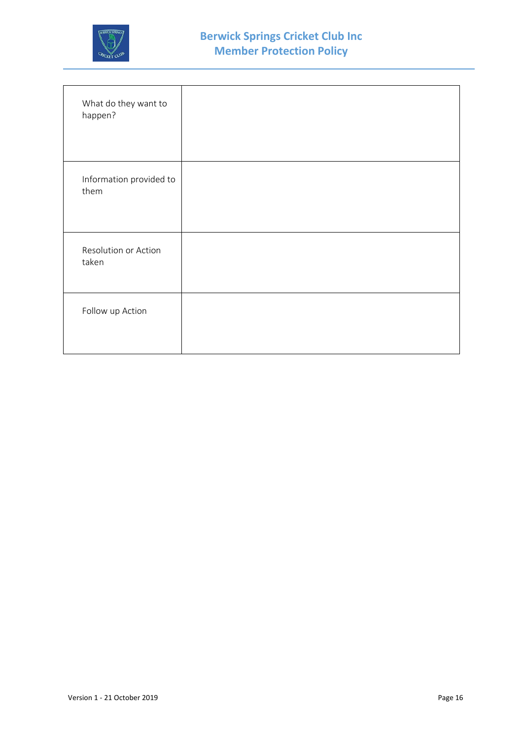

| What do they want to<br>happen? |  |
|---------------------------------|--|
| Information provided to<br>them |  |
| Resolution or Action<br>taken   |  |
| Follow up Action                |  |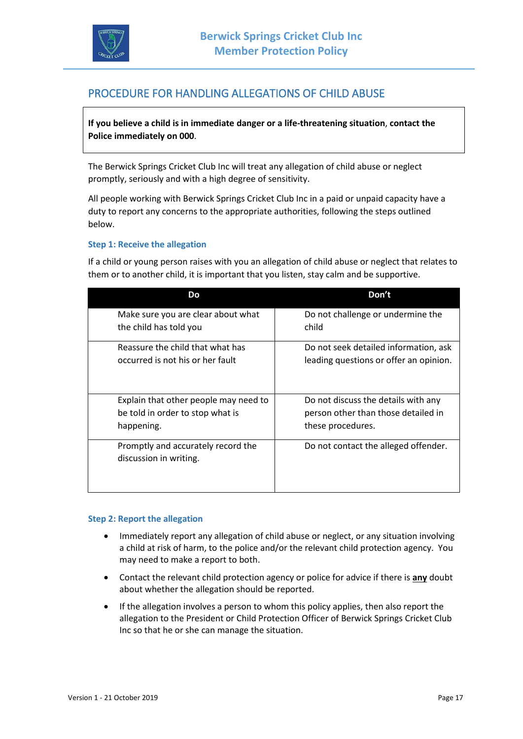

## PROCEDURE FOR HANDLING ALLEGATIONS OF CHILD ABUSE

**If you believe a child is in immediate danger or a life-threatening situation**, **contact the Police immediately on 000**.

The Berwick Springs Cricket Club Inc will treat any allegation of child abuse or neglect promptly, seriously and with a high degree of sensitivity.

All people working with Berwick Springs Cricket Club Inc in a paid or unpaid capacity have a duty to report any concerns to the appropriate authorities, following the steps outlined below.

#### **Step 1: Receive the allegation**

If a child or young person raises with you an allegation of child abuse or neglect that relates to them or to another child, it is important that you listen, stay calm and be supportive.

| Do.                                                          | Don't                                  |
|--------------------------------------------------------------|----------------------------------------|
| Make sure you are clear about what                           | Do not challenge or undermine the      |
| the child has told you                                       | child                                  |
| Reassure the child that what has                             | Do not seek detailed information, ask  |
| occurred is not his or her fault                             | leading questions or offer an opinion. |
| Explain that other people may need to                        | Do not discuss the details with any    |
| be told in order to stop what is                             | person other than those detailed in    |
| happening.                                                   | these procedures.                      |
| Promptly and accurately record the<br>discussion in writing. | Do not contact the alleged offender.   |

#### **Step 2: Report the allegation**

- Immediately report any allegation of child abuse or neglect, or any situation involving a child at risk of harm, to the police and/or the relevant child protection agency. You may need to make a report to both.
- Contact the relevant child protection agency or police for advice if there is **any** doubt about whether the allegation should be reported.
- If the allegation involves a person to whom this policy applies, then also report the allegation to the President or Child Protection Officer of Berwick Springs Cricket Club Inc so that he or she can manage the situation.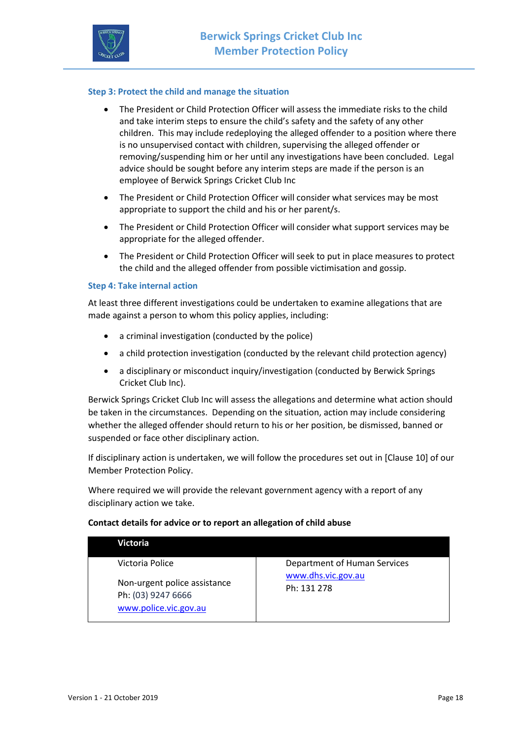

#### **Step 3: Protect the child and manage the situation**

- The President or Child Protection Officer will assess the immediate risks to the child and take interim steps to ensure the child's safety and the safety of any other children. This may include redeploying the alleged offender to a position where there is no unsupervised contact with children, supervising the alleged offender or removing/suspending him or her until any investigations have been concluded. Legal advice should be sought before any interim steps are made if the person is an employee of Berwick Springs Cricket Club Inc
- The President or Child Protection Officer will consider what services may be most appropriate to support the child and his or her parent/s.
- The President or Child Protection Officer will consider what support services may be appropriate for the alleged offender.
- The President or Child Protection Officer will seek to put in place measures to protect the child and the alleged offender from possible victimisation and gossip.

#### **Step 4: Take internal action**

At least three different investigations could be undertaken to examine allegations that are made against a person to whom this policy applies, including:

- a criminal investigation (conducted by the police)
- a child protection investigation (conducted by the relevant child protection agency)
- a disciplinary or misconduct inquiry/investigation (conducted by Berwick Springs Cricket Club Inc).

Berwick Springs Cricket Club Inc will assess the allegations and determine what action should be taken in the circumstances. Depending on the situation, action may include considering whether the alleged offender should return to his or her position, be dismissed, banned or suspended or face other disciplinary action.

If disciplinary action is undertaken, we will follow the procedures set out in [Clause 10] of our Member Protection Policy.

Where required we will provide the relevant government agency with a report of any disciplinary action we take.

#### **Contact details for advice or to report an allegation of child abuse**

| <b>Victoria</b>                                                             |                                   |
|-----------------------------------------------------------------------------|-----------------------------------|
| Victoria Police                                                             | Department of Human Services      |
| Non-urgent police assistance<br>Ph: (03) 9247 6666<br>www.police.vic.gov.au | www.dhs.vic.gov.au<br>Ph: 131 278 |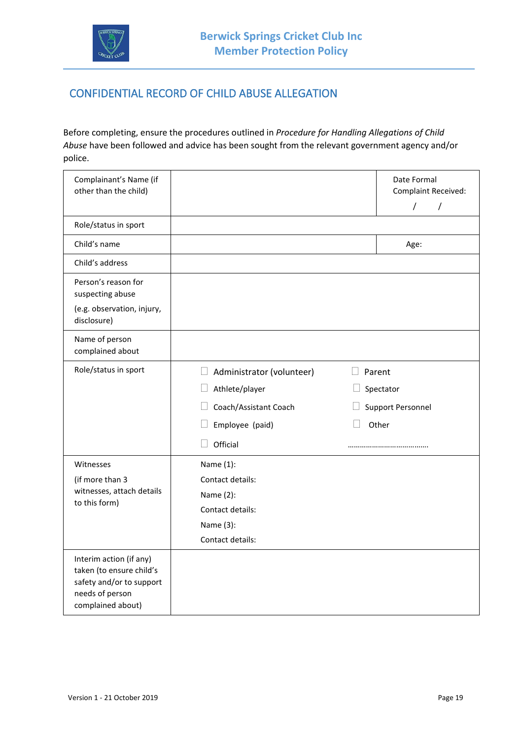

## CONFIDENTIAL RECORD OF CHILD ABUSE ALLEGATION

Before completing, ensure the procedures outlined in *Procedure for Handling Allegations of Child Abuse* have been followed and advice has been sought from the relevant government agency and/or police.

| Complainant's Name (if<br>other than the child)                                                                         |                                                                                                                                | Date Formal<br>Complaint Received:<br>$\sqrt{2}$<br>$\prime$ |
|-------------------------------------------------------------------------------------------------------------------------|--------------------------------------------------------------------------------------------------------------------------------|--------------------------------------------------------------|
| Role/status in sport                                                                                                    |                                                                                                                                |                                                              |
| Child's name                                                                                                            |                                                                                                                                | Age:                                                         |
| Child's address                                                                                                         |                                                                                                                                |                                                              |
| Person's reason for<br>suspecting abuse<br>(e.g. observation, injury,<br>disclosure)                                    |                                                                                                                                |                                                              |
| Name of person<br>complained about                                                                                      |                                                                                                                                |                                                              |
| Role/status in sport                                                                                                    | $\Box$ Administrator (volunteer)<br>Athlete/player<br>$\Box$<br>Coach/Assistant Coach<br>$\Box$<br>Employee (paid)<br>Official | Parent<br>Spectator<br><b>Support Personnel</b><br>Other     |
| Witnesses<br>(if more than 3<br>witnesses, attach details<br>to this form)                                              | Name (1):<br>Contact details:<br>Name (2):<br>Contact details:<br>Name (3):<br>Contact details:                                |                                                              |
| Interim action (if any)<br>taken (to ensure child's<br>safety and/or to support<br>needs of person<br>complained about) |                                                                                                                                |                                                              |